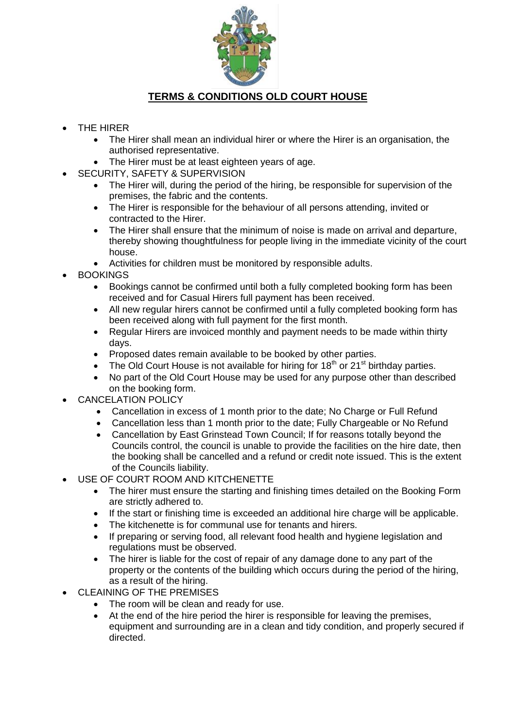

## **TERMS & CONDITIONS OLD COURT HOUSE**

- THE HIRER
	- The Hirer shall mean an individual hirer or where the Hirer is an organisation, the authorised representative.
	- The Hirer must be at least eighteen years of age.
- SECURITY, SAFETY & SUPERVISION
	- The Hirer will, during the period of the hiring, be responsible for supervision of the premises, the fabric and the contents.
	- The Hirer is responsible for the behaviour of all persons attending, invited or contracted to the Hirer.
	- The Hirer shall ensure that the minimum of noise is made on arrival and departure, thereby showing thoughtfulness for people living in the immediate vicinity of the court house.
	- Activities for children must be monitored by responsible adults.
- BOOKINGS
	- Bookings cannot be confirmed until both a fully completed booking form has been received and for Casual Hirers full payment has been received.
	- All new regular hirers cannot be confirmed until a fully completed booking form has been received along with full payment for the first month.
	- Regular Hirers are invoiced monthly and payment needs to be made within thirty days.
	- Proposed dates remain available to be booked by other parties.
	- The Old Court House is not available for hiring for  $18<sup>th</sup>$  or  $21<sup>st</sup>$  birthday parties.
	- No part of the Old Court House may be used for any purpose other than described on the booking form.
- CANCELATION POLICY
	- Cancellation in excess of 1 month prior to the date; No Charge or Full Refund
	- Cancellation less than 1 month prior to the date; Fully Chargeable or No Refund
	- Cancellation by East Grinstead Town Council; If for reasons totally beyond the Councils control, the council is unable to provide the facilities on the hire date, then the booking shall be cancelled and a refund or credit note issued. This is the extent of the Councils liability.
- USE OF COURT ROOM AND KITCHENETTE
	- The hirer must ensure the starting and finishing times detailed on the Booking Form are strictly adhered to.
	- If the start or finishing time is exceeded an additional hire charge will be applicable.
	- The kitchenette is for communal use for tenants and hirers.
	- If preparing or serving food, all relevant food health and hygiene legislation and regulations must be observed.
	- The hirer is liable for the cost of repair of any damage done to any part of the property or the contents of the building which occurs during the period of the hiring, as a result of the hiring.
- CLEAINING OF THE PREMISES
	- The room will be clean and ready for use.
	- At the end of the hire period the hirer is responsible for leaving the premises, equipment and surrounding are in a clean and tidy condition, and properly secured if directed.